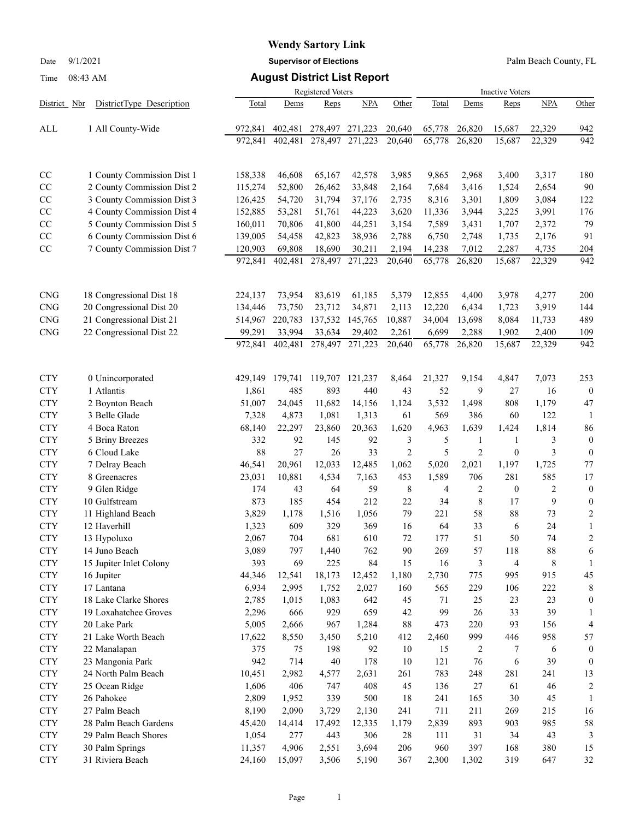# **Wendy Sartory Link**

Date 9/1/2021 **Supervisor of Elections** Palm Beach County, FL

## Time 08:43 AM **August District List Report**

|              |                            |         |         | Registered Voters |            | <b>Inactive Voters</b> |        |                |                  |                         |                         |
|--------------|----------------------------|---------|---------|-------------------|------------|------------------------|--------|----------------|------------------|-------------------------|-------------------------|
| District Nbr | DistrictType Description   | Total   | Dems    | Reps              | <b>NPA</b> | Other                  | Total  | Dems           | Reps             | <b>NPA</b>              | Other                   |
| ALL          | 1 All County-Wide          | 972,841 | 402,481 | 278,497           | 271,223    | 20,640                 | 65,778 | 26,820         | 15,687           | 22,329                  | 942                     |
|              |                            | 972,841 | 402,481 | 278,497           | 271,223    | 20,640                 | 65,778 | 26,820         | 15,687           | 22,329                  | 942                     |
|              |                            |         |         |                   |            |                        |        |                |                  |                         |                         |
| CC           | 1 County Commission Dist 1 | 158,338 | 46,608  | 65,167            | 42,578     | 3,985                  | 9,865  | 2,968          | 3,400            | 3,317                   | 180                     |
| $\rm CC$     | 2 County Commission Dist 2 | 115,274 | 52,800  | 26,462            | 33,848     | 2,164                  | 7,684  | 3,416          | 1,524            | 2,654                   | 90                      |
| CC           | 3 County Commission Dist 3 | 126,425 | 54,720  | 31,794            | 37,176     | 2,735                  | 8,316  | 3,301          | 1,809            | 3,084                   | 122                     |
| CC           | 4 County Commission Dist 4 | 152,885 | 53,281  | 51,761            | 44,223     | 3,620                  | 11,336 | 3,944          | 3,225            | 3,991                   | 176                     |
| $\rm CC$     | 5 County Commission Dist 5 | 160,011 | 70,806  | 41,800            | 44,251     | 3,154                  | 7,589  | 3,431          | 1,707            | 2,372                   | 79                      |
| $\rm CC$     | 6 County Commission Dist 6 | 139,005 | 54,458  | 42,823            | 38,936     | 2,788                  | 6,750  | 2,748          | 1,735            | 2,176                   | 91                      |
| $\rm CC$     | 7 County Commission Dist 7 | 120,903 | 69,808  | 18,690            | 30,211     | 2,194                  | 14,238 | 7,012          | 2,287            | 4,735                   | 204                     |
|              |                            | 972,841 | 402,481 | 278,497           | 271,223    | 20,640                 | 65,778 | 26,820         | 15,687           | 22,329                  | 942                     |
|              |                            |         |         |                   |            |                        |        |                |                  |                         |                         |
| <b>CNG</b>   | 18 Congressional Dist 18   | 224,137 | 73,954  | 83,619            | 61,185     | 5,379                  | 12,855 | 4,400          | 3,978            | 4,277                   | 200                     |
| <b>CNG</b>   | 20 Congressional Dist 20   | 134,446 | 73,750  | 23,712            | 34,871     | 2,113                  | 12,220 | 6,434          | 1,723            | 3,919                   | 144                     |
| <b>CNG</b>   | 21 Congressional Dist 21   | 514,967 | 220,783 | 137,532           | 145,765    | 10,887                 | 34,004 | 13,698         | 8,084            | 11,733                  | 489                     |
| <b>CNG</b>   | 22 Congressional Dist 22   | 99,291  | 33,994  | 33,634            | 29,402     | 2,261                  | 6,699  | 2,288          | 1,902            | 2,400                   | 109                     |
|              |                            | 972.841 | 402,481 | 278,497           | 271,223    | 20,640                 | 65,778 | 26,820         | 15,687           | 22,329                  | 942                     |
| <b>CTY</b>   | 0 Unincorporated           | 429,149 | 179,741 | 119,707           | 121,237    | 8,464                  | 21,327 | 9,154          | 4,847            | 7,073                   | 253                     |
| <b>CTY</b>   | 1 Atlantis                 | 1,861   | 485     | 893               | 440        | 43                     | 52     | 9              | 27               | 16                      | $\overline{0}$          |
| <b>CTY</b>   | 2 Boynton Beach            | 51,007  | 24,045  | 11,682            | 14,156     | 1,124                  | 3,532  | 1,498          | 808              | 1,179                   | 47                      |
| <b>CTY</b>   | 3 Belle Glade              | 7,328   | 4,873   | 1,081             | 1,313      | 61                     | 569    | 386            | 60               | 122                     | -1                      |
| <b>CTY</b>   | 4 Boca Raton               | 68,140  | 22,297  | 23,860            | 20,363     | 1,620                  | 4,963  | 1,639          | 1,424            | 1,814                   | 86                      |
| <b>CTY</b>   | 5 Briny Breezes            | 332     | 92      | 145               | 92         | 3                      | 5      | $\mathbf{1}$   | 1                | 3                       | $\boldsymbol{0}$        |
| <b>CTY</b>   | 6 Cloud Lake               | 88      | 27      | 26                | 33         | $\overline{2}$         | 5      | $\overline{2}$ | $\boldsymbol{0}$ | 3                       | $\boldsymbol{0}$        |
| <b>CTY</b>   | 7 Delray Beach             | 46,541  | 20,961  | 12,033            | 12,485     | 1,062                  | 5,020  | 2,021          | 1,197            | 1,725                   | 77                      |
| <b>CTY</b>   | 8 Greenacres               | 23,031  | 10,881  | 4,534             | 7,163      | 453                    | 1,589  | 706            | 281              | 585                     | 17                      |
| <b>CTY</b>   | 9 Glen Ridge               | 174     | 43      | 64                | 59         | 8                      | 4      | $\overline{2}$ | 0                | $\overline{\mathbf{c}}$ | $\boldsymbol{0}$        |
| <b>CTY</b>   | 10 Gulfstream              | 873     | 185     | 454               | 212        | 22                     | 34     | 8              | 17               | 9                       | $\boldsymbol{0}$        |
| <b>CTY</b>   | 11 Highland Beach          | 3,829   | 1,178   | 1,516             | 1,056      | 79                     | 221    | 58             | 88               | 73                      | $\boldsymbol{2}$        |
| <b>CTY</b>   | 12 Haverhill               | 1,323   | 609     | 329               | 369        | 16                     | 64     | 33             | 6                | 24                      | 1                       |
| <b>CTY</b>   | 13 Hypoluxo                | 2,067   | 704     | 681               | 610        | 72                     | 177    | 51             | 50               | 74                      | $\overline{c}$          |
| <b>CTY</b>   | 14 Juno Beach              | 3,089   | 797     | 1,440             | 762        | 90                     | 269    | 57             | 118              | 88                      | 6                       |
| <b>CTY</b>   | 15 Jupiter Inlet Colony    | 393     | 69      | 225               | 84         | 15                     | 16     | 3              | 4                | 8                       | 1                       |
| <b>CTY</b>   | 16 Jupiter                 | 44,346  | 12,541  | 18,173            | 12,452     | 1,180                  | 2,730  | 775            | 995              | 915                     | 45                      |
| <b>CTY</b>   | 17 Lantana                 | 6,934   | 2,995   | 1,752             | 2,027      | 160                    | 565    | 229            | 106              | 222                     | 8                       |
| <b>CTY</b>   | 18 Lake Clarke Shores      | 2,785   | 1,015   | 1,083             | 642        | 45                     | 71     | 25             | 23               | 23                      | 0                       |
| <b>CTY</b>   | 19 Loxahatchee Groves      | 2,296   | 666     | 929               | 659        | 42                     | 99     | 26             | 33               | 39                      | 1                       |
| ${\rm CTY}$  | 20 Lake Park               | 5,005   | 2,666   | 967               | 1,284      | 88                     | 473    | 220            | 93               | 156                     | 4                       |
| <b>CTY</b>   | 21 Lake Worth Beach        | 17,622  | 8,550   | 3,450             | 5,210      | 412                    | 2,460  | 999            | 446              | 958                     | 57                      |
| <b>CTY</b>   | 22 Manalapan               | 375     | 75      | 198               | 92         | 10                     | 15     | 2              | 7                | 6                       | 0                       |
| <b>CTY</b>   | 23 Mangonia Park           | 942     | 714     | 40                | 178        | 10                     | 121    | 76             | 6                | 39                      | $\boldsymbol{0}$        |
| <b>CTY</b>   | 24 North Palm Beach        | 10,451  | 2,982   | 4,577             | 2,631      | 261                    | 783    | 248            | 281              | 241                     | 13                      |
| ${\rm CTY}$  | 25 Ocean Ridge             | 1,606   | 406     | 747               | 408        | 45                     | 136    | 27             | 61               | 46                      | $\overline{\mathbf{c}}$ |
| <b>CTY</b>   | 26 Pahokee                 | 2,809   | 1,952   | 339               | 500        | 18                     | 241    | 165            | 30               | 45                      | 1                       |
| <b>CTY</b>   | 27 Palm Beach              | 8,190   | 2,090   | 3,729             | 2,130      | 241                    | 711    | 211            | 269              | 215                     | 16                      |
| <b>CTY</b>   | 28 Palm Beach Gardens      | 45,420  | 14,414  | 17,492            | 12,335     | 1,179                  | 2,839  | 893            | 903              | 985                     | 58                      |
| <b>CTY</b>   | 29 Palm Beach Shores       | 1,054   | 277     | 443               | 306        | 28                     | 111    | 31             | 34               | 43                      | 3                       |
| <b>CTY</b>   | 30 Palm Springs            | 11,357  | 4,906   | 2,551             | 3,694      | 206                    | 960    | 397            | 168              | 380                     | 15                      |
| <b>CTY</b>   | 31 Riviera Beach           | 24,160  | 15,097  | 3,506             | 5,190      | 367                    | 2,300  | 1,302          | 319              | 647                     | 32                      |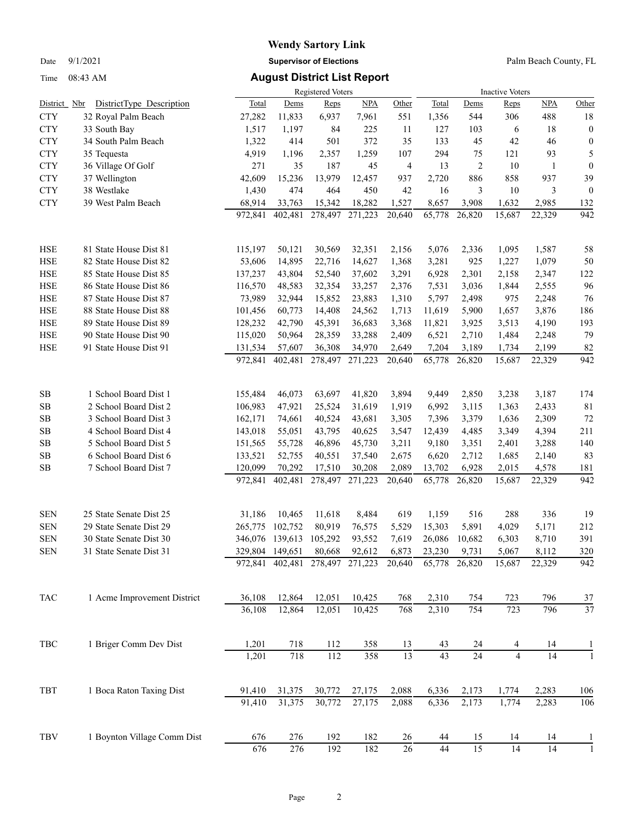Time 08:43 AM **August District List Report**

## **Wendy Sartory Link** Date 9/1/2021 **Supervisor of Elections** Palm Beach County, FL

|              |                             |         |                 | Registered Voters |         | <b>Inactive Voters</b> |                 |                 |                |        |                  |
|--------------|-----------------------------|---------|-----------------|-------------------|---------|------------------------|-----------------|-----------------|----------------|--------|------------------|
| District Nbr | DistrictType Description    | Total   | Dems            | Reps              | NPA     | Other                  | Total           | Dems            | <b>Reps</b>    | NPA    | Other            |
| <b>CTY</b>   | 32 Royal Palm Beach         | 27,282  | 11,833          | 6,937             | 7,961   | 551                    | 1,356           | 544             | 306            | 488    | 18               |
| <b>CTY</b>   | 33 South Bay                | 1,517   | 1,197           | 84                | 225     | 11                     | 127             | 103             | 6              | 18     | $\boldsymbol{0}$ |
| <b>CTY</b>   | 34 South Palm Beach         | 1,322   | 414             | 501               | 372     | 35                     | 133             | 45              | 42             | 46     | $\boldsymbol{0}$ |
| <b>CTY</b>   | 35 Tequesta                 | 4,919   | 1,196           | 2,357             | 1,259   | 107                    | 294             | 75              | 121            | 93     | 5                |
| <b>CTY</b>   | 36 Village Of Golf          | 271     | 35              | 187               | 45      | 4                      | 13              | 2               | 10             | 1      | $\boldsymbol{0}$ |
| <b>CTY</b>   | 37 Wellington               | 42,609  | 15,236          | 13,979            | 12,457  | 937                    | 2,720           | 886             | 858            | 937    | 39               |
| <b>CTY</b>   | 38 Westlake                 | 1,430   | 474             | 464               | 450     | 42                     | 16              | 3               | 10             | 3      | $\boldsymbol{0}$ |
| <b>CTY</b>   | 39 West Palm Beach          | 68,914  | 33,763          | 15,342            | 18,282  | 1,527                  | 8,657           | 3,908           | 1,632          | 2,985  | 132              |
|              |                             | 972,841 | 402,481         | 278,497           | 271,223 | 20,640                 | 65,778          | 26,820          | 15,687         | 22,329 | 942              |
| <b>HSE</b>   | 81 State House Dist 81      | 115,197 | 50,121          | 30,569            | 32,351  | 2,156                  | 5,076           | 2,336           | 1,095          | 1,587  | 58               |
| <b>HSE</b>   | 82 State House Dist 82      | 53,606  | 14,895          | 22,716            | 14,627  | 1,368                  | 3,281           | 925             | 1,227          | 1,079  | 50               |
| <b>HSE</b>   | 85 State House Dist 85      | 137,237 | 43,804          | 52,540            | 37,602  | 3,291                  | 6,928           | 2,301           | 2,158          | 2,347  | 122              |
| <b>HSE</b>   | 86 State House Dist 86      | 116,570 | 48,583          | 32,354            | 33,257  | 2,376                  | 7,531           | 3,036           | 1,844          | 2,555  | 96               |
| <b>HSE</b>   | 87 State House Dist 87      | 73,989  | 32,944          | 15,852            | 23,883  | 1,310                  | 5,797           | 2,498           | 975            | 2,248  | 76               |
| <b>HSE</b>   | 88 State House Dist 88      | 101,456 | 60,773          | 14,408            | 24,562  | 1,713                  | 11,619          | 5,900           | 1,657          | 3,876  | 186              |
| <b>HSE</b>   | 89 State House Dist 89      | 128,232 | 42,790          | 45,391            | 36,683  | 3,368                  | 11,821          | 3,925           | 3,513          | 4,190  | 193              |
| <b>HSE</b>   | 90 State House Dist 90      | 115,020 | 50,964          | 28,359            | 33,288  | 2,409                  | 6,521           | 2,710           | 1,484          | 2,248  | 79               |
| <b>HSE</b>   | 91 State House Dist 91      | 131,534 | 57,607          | 36,308            | 34,970  | 2,649                  | 7,204           | 3,189           | 1,734          | 2,199  | 82               |
|              |                             | 972,841 | 402,481         | 278,497           | 271,223 | 20,640                 | 65,778          | 26,820          | 15,687         | 22,329 | 942              |
| SB           | 1 School Board Dist 1       | 155,484 | 46,073          | 63,697            | 41,820  | 3,894                  | 9,449           | 2,850           | 3,238          | 3,187  | 174              |
| SB           | 2 School Board Dist 2       | 106,983 | 47,921          | 25,524            | 31,619  | 1,919                  | 6,992           | 3,115           | 1,363          | 2,433  | 81               |
| SB           | 3 School Board Dist 3       | 162,171 | 74,661          | 40,524            | 43,681  | 3,305                  | 7,396           | 3,379           | 1,636          | 2,309  | 72               |
| SB           | 4 School Board Dist 4       | 143,018 | 55,051          | 43,795            | 40,625  | 3,547                  | 12,439          | 4,485           | 3,349          | 4,394  | 211              |
| SB           | 5 School Board Dist 5       | 151,565 | 55,728          | 46,896            | 45,730  | 3,211                  | 9,180           | 3,351           | 2,401          | 3,288  | 140              |
| SB           | 6 School Board Dist 6       | 133,521 | 52,755          | 40,551            | 37,540  | 2,675                  | 6,620           | 2,712           | 1,685          | 2,140  | 83               |
| SB           | 7 School Board Dist 7       | 120,099 | 70,292          | 17,510            | 30,208  | 2,089                  | 13,702          | 6,928           | 2,015          | 4,578  | 181<br>942       |
|              |                             | 972,841 | 402,481         | 278,497           | 271,223 | 20,640                 | 65,778          | 26,820          | 15,687         | 22,329 |                  |
| <b>SEN</b>   | 25 State Senate Dist 25     | 31,186  | 10,465          | 11,618            | 8,484   | 619                    | 1,159           | 516             | 288            | 336    | 19               |
| <b>SEN</b>   | 29 State Senate Dist 29     | 265,775 | 102,752         | 80,919            | 76,575  | 5,529                  | 15,303          | 5,891           | 4,029          | 5,171  | 212              |
| <b>SEN</b>   | 30 State Senate Dist 30     |         | 346,076 139,613 | 105,292           | 93,552  | 7,619                  | 26,086          | 10,682          | 6,303          | 8,710  | 391              |
| <b>SEN</b>   | 31 State Senate Dist 31     |         | 329,804 149,651 | 80,668            | 92,612  | 6,873                  | 23,230          | 9,731           | 5,067          | 8,112  | 320              |
|              |                             |         | 972,841 402,481 | 278,497           | 271,223 | 20,640                 | 65,778          | 26,820          | 15,687         | 22,329 | 942              |
| TAC          | 1 Acme Improvement District | 36,108  | 12,864          | 12,051            | 10,425  | 768                    | 2,310           | 754             | 723            | 796    | 37               |
|              |                             | 36,108  | 12,864          | 12,051            | 10,425  | 768                    | 2,310           | 754             | 723            | 796    | 37               |
| TBC          | 1 Briger Comm Dev Dist      | 1,201   | 718             | 112               | 358     | 13                     | 43              | 24              |                | 14     |                  |
|              |                             | 1,201   | 718             | 112               | 358     | $\overline{13}$        | $\overline{43}$ | $\overline{24}$ | $\overline{4}$ | 14     |                  |
| TBT          | 1 Boca Raton Taxing Dist    | 91,410  | 31,375          | 30,772            | 27,175  | 2,088                  | 6,336           | 2,173           | 1,774          | 2,283  | 106              |
|              |                             | 91,410  | 31,375          | 30,772            | 27,175  | 2,088                  | 6,336           | 2,173           | 1,774          | 2,283  | 106              |
| TBV          | 1 Boynton Village Comm Dist | 676     | 276             | 192               | 182     | 26                     | 44              | 15              | 14             | 14     |                  |

676 276 192 182 26 44 15 14 14 1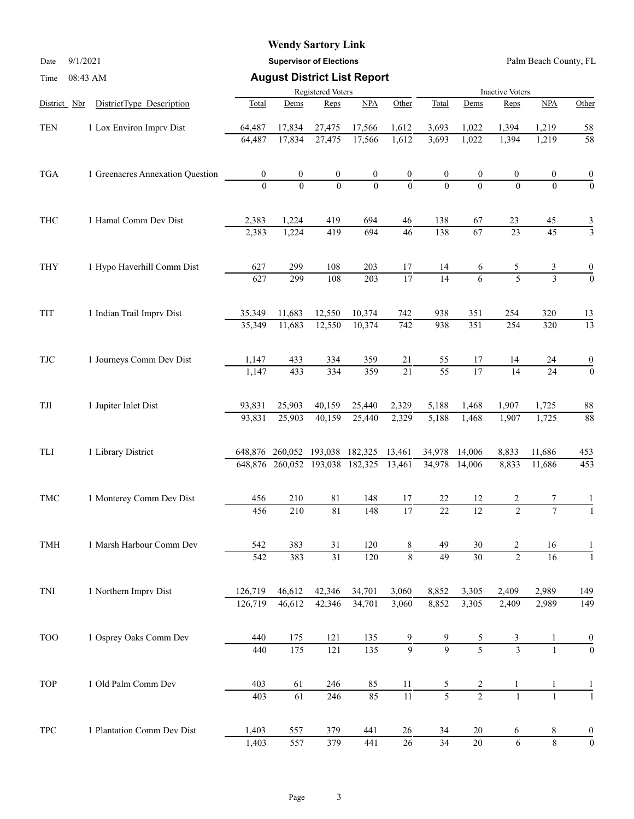## **Wendy Sartory Link**

Date 9/1/2021 **Supervisor of Elections** Palm Beach County, FL

| Time         | 08:43 AM                         |                   |                                 |                         | <b>August District List Report</b> |                  |                        |                  |                          |                 |                  |  |
|--------------|----------------------------------|-------------------|---------------------------------|-------------------------|------------------------------------|------------------|------------------------|------------------|--------------------------|-----------------|------------------|--|
|              |                                  | Registered Voters |                                 |                         |                                    |                  | <b>Inactive Voters</b> |                  |                          |                 |                  |  |
| District Nbr | DistrictType Description         | Total             | Dems                            | Reps                    | NPA                                | Other            | Total                  | Dems             | Reps                     | NPA             | Other            |  |
| <b>TEN</b>   | 1 Lox Environ Imprv Dist         | 64,487            | 17,834                          | 27,475                  | 17,566                             | 1,612            | 3,693                  | 1,022            | 1,394                    | 1,219           | 58               |  |
|              |                                  | 64,487            | 17,834                          | 27,475                  | 17,566                             | 1,612            | 3,693                  | 1,022            | 1,394                    | 1,219           | 58               |  |
| <b>TGA</b>   | 1 Greenacres Annexation Question | $\boldsymbol{0}$  | $\boldsymbol{0}$                | $\boldsymbol{0}$        | $\boldsymbol{0}$                   | $\boldsymbol{0}$ | $\boldsymbol{0}$       | $\boldsymbol{0}$ | 0                        | 0               | $\boldsymbol{0}$ |  |
|              |                                  | $\Omega$          | $\theta$                        | $\theta$                | $\Omega$                           | $\mathbf{0}$     | $\theta$               | $\Omega$         | $\Omega$                 | $\Omega$        | $\overline{0}$   |  |
| <b>THC</b>   | 1 Hamal Comm Dev Dist            | 2,383             | 1,224                           | 419                     | 694                                | 46               | 138                    | 67               | 23                       | 45              | $rac{3}{3}$      |  |
|              |                                  | 2,383             | 1,224                           | 419                     | 694                                | 46               | 138                    | $\overline{67}$  | $\overline{23}$          | $\overline{45}$ |                  |  |
| <b>THY</b>   | 1 Hypo Haverhill Comm Dist       | 627               | 299                             | 108                     | 203                                | 17               | 14                     | 6                | 5                        | 3               | $\boldsymbol{0}$ |  |
|              |                                  | 627               | 299                             | 108                     | 203                                | $\overline{17}$  | $\overline{14}$        | 6                | $\overline{5}$           | $\overline{3}$  | $\mathbf{0}$     |  |
| TIT          | 1 Indian Trail Imprv Dist        | 35,349            | 11,683                          | 12,550                  | 10,374                             | 742              | 938                    | 351              | 254                      | 320             | 13               |  |
|              |                                  | 35,349            | 11,683                          | 12,550                  | 10,374                             | $\overline{742}$ | 938                    | $\overline{351}$ | 254                      | 320             | $\overline{13}$  |  |
| <b>TJC</b>   | 1 Journeys Comm Dev Dist         | 1,147             | 433                             | 334                     | 359                                | 21               | 55                     | 17               | 14                       | 24              | $\boldsymbol{0}$ |  |
|              |                                  | 1,147             | 433                             | 334                     | 359                                | $\overline{21}$  | $\overline{55}$        | $\overline{17}$  | 14                       | 24              | $\boldsymbol{0}$ |  |
| $\rm TJI$    | 1 Jupiter Inlet Dist             | 93,831            | 25,903                          | 40,159                  | 25,440                             | 2,329            | 5,188                  | 1,468            | 1,907                    | 1,725           | 88               |  |
|              |                                  | 93,831            | 25,903                          | 40,159                  | 25,440                             | 2,329            | 5,188                  | 1,468            | 1,907                    | 1,725           | 88               |  |
| TLI          | 1 Library District               | 648,876           |                                 | 260,052 193,038 182,325 |                                    | 13,461           | 34,978                 | 14,006           | 8,833                    | 11,686          | 453              |  |
|              |                                  |                   | 648,876 260,052 193,038 182,325 |                         |                                    | 13,461           | 34,978                 | 14,006           | 8,833                    | 11,686          | 453              |  |
| TMC          | 1 Monterey Comm Dev Dist         | 456               | 210                             | 81                      | 148                                | 17               | 22                     | 12               |                          |                 |                  |  |
|              |                                  | 456               | 210                             | $\overline{81}$         | 148                                | $\overline{17}$  | $\overline{22}$        | 12               | $\overline{\mathcal{L}}$ | $\overline{7}$  |                  |  |
| TMH          | 1 Marsh Harbour Comm Dev         | 542               | 383                             | 31                      | 120                                | 8                | 49                     | 30               | 2                        | 16              |                  |  |
|              |                                  | 542               | 383                             | $\overline{31}$         | 120                                | $\,8\,$          | $\overline{49}$        | $\overline{30}$  | $\overline{2}$           | 16              |                  |  |
| TNI          | 1 Northern Imprv Dist            | 126,719           | 46,612                          | 42,346                  | 34,701                             | 3,060            | 8,852                  | 3,305            | 2,409                    | 2,989           | 149              |  |
|              |                                  | 126,719           | 46,612                          | 42,346                  | 34,701                             | 3,060            | 8,852                  | 3,305            | 2,409                    | 2,989           | 149              |  |
| <b>TOO</b>   | 1 Osprey Oaks Comm Dev           | 440               | 175                             | 121                     | 135                                | 9                |                        | $\frac{5}{5}$    | $rac{3}{3}$              |                 | $\frac{0}{0}$    |  |
|              |                                  | 440               | 175                             | 121                     | 135                                | $\overline{9}$   | $\overline{9}$         |                  |                          |                 |                  |  |
| <b>TOP</b>   | 1 Old Palm Comm Dev              | 403               | 61                              | 246                     | 85                                 | 11               | 5                      | 2                | 1                        | 1               |                  |  |
|              |                                  | 403               | 61                              | 246                     | 85                                 | 11               | $\overline{5}$         | $\overline{2}$   | $\mathbf{1}$             | $\mathbf{1}$    |                  |  |
| TPC          | 1 Plantation Comm Dev Dist       | 1,403             | 557                             | 379                     | 441                                | 26               | 34                     | $20\,$           | 6                        | 8               | $\boldsymbol{0}$ |  |
|              |                                  | 1,403             | 557                             | 379                     | 441                                | $\overline{26}$  | $\overline{34}$        | $\overline{20}$  | $\overline{6}$           | $\overline{8}$  | $\boldsymbol{0}$ |  |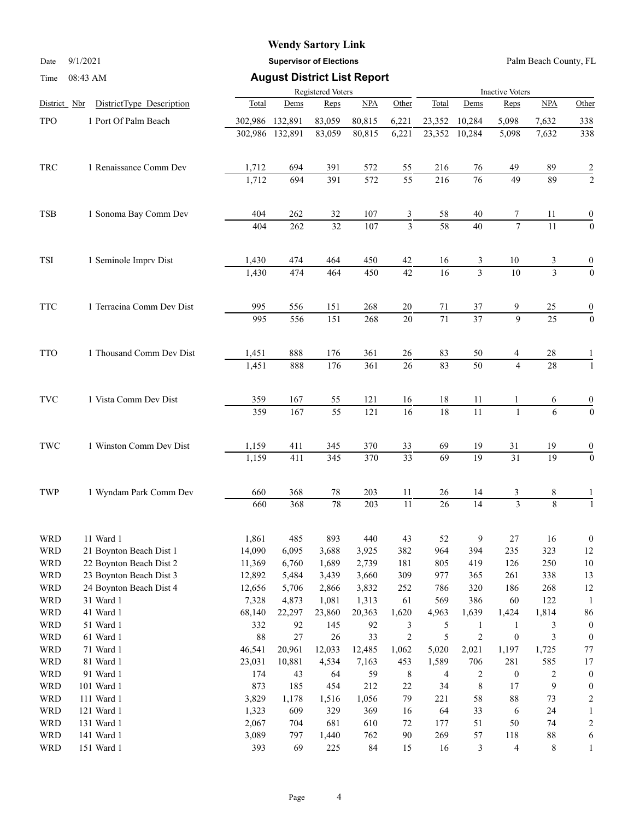## **Wendy Sartory Link**

Date 9/1/2021 **Supervisor of Elections** Palm Beach County, FL

### Time 08:43 AM **August District List Report**

|                      |                        |                           |                 | Registered Voters |                 |                  |                 |                 |                 | <b>Inactive Voters</b> |                 |                  |  |  |  |
|----------------------|------------------------|---------------------------|-----------------|-------------------|-----------------|------------------|-----------------|-----------------|-----------------|------------------------|-----------------|------------------|--|--|--|
| District Nbr         |                        | DistrictType Description  | Total           | Dems              | Reps            | <b>NPA</b>       | Other           | Total           | Dems            | Reps                   | NPA             | Other            |  |  |  |
| TPO                  |                        | 1 Port Of Palm Beach      | 302,986 132,891 |                   | 83,059          | 80,815           | 6,221           | 23,352          | 10,284          | 5,098                  | 7,632           | 338              |  |  |  |
|                      |                        |                           |                 | 302,986 132,891   | 83,059          | 80,815           | 6,221           | 23,352          | 10,284          | 5,098                  | 7,632           | 338              |  |  |  |
|                      |                        |                           |                 |                   |                 |                  |                 |                 |                 |                        |                 |                  |  |  |  |
| TRC                  |                        | 1 Renaissance Comm Dev    | 1,712           | 694               | 391             | 572              | 55              | 216             | 76              | 49                     | 89              |                  |  |  |  |
|                      |                        |                           | 1,712           | 694               | 391             | 572              | $\overline{55}$ | 216             | 76              | 49                     | 89              | $\frac{2}{2}$    |  |  |  |
|                      |                        |                           |                 |                   |                 |                  |                 |                 |                 |                        |                 |                  |  |  |  |
| <b>TSB</b>           |                        | 1 Sonoma Bay Comm Dev     | 404             | 262               | 32              | 107              | 3               | 58              | 40              | 7                      | 11              | $\boldsymbol{0}$ |  |  |  |
|                      |                        |                           | 404             | 262               | 32              | 107              | $\overline{3}$  | 58              | $\overline{40}$ | $\overline{7}$         | $\overline{11}$ | $\theta$         |  |  |  |
|                      |                        |                           |                 |                   |                 |                  |                 |                 |                 |                        |                 |                  |  |  |  |
| TSI                  |                        | 1 Seminole Imprv Dist     | 1,430           | 474               | 464             | 450              | 42              | 16              | 3               | $10\,$                 | 3               | 0                |  |  |  |
|                      |                        |                           | 1,430           | 474               | 464             | 450              | 42              | $\overline{16}$ | $\overline{3}$  | $\overline{10}$        | $\overline{3}$  | $\overline{0}$   |  |  |  |
|                      |                        |                           |                 |                   |                 |                  |                 |                 |                 |                        |                 |                  |  |  |  |
| <b>TTC</b>           |                        | 1 Terracina Comm Dev Dist | 995             | 556               | 151             | 268              | 20              | 71              | 37              | 9                      | 25              | 0                |  |  |  |
|                      |                        |                           | 995             | 556               | 151             | 268              | $\overline{20}$ | $\overline{71}$ | $\overline{37}$ | $\overline{9}$         | $\overline{25}$ | $\mathbf{0}$     |  |  |  |
|                      |                        |                           |                 |                   |                 |                  |                 |                 |                 |                        |                 |                  |  |  |  |
| <b>TTO</b>           |                        | 1 Thousand Comm Dev Dist  | 1,451           | 888               | 176             | 361              | 26              | 83              | 50              | 4                      | 28              |                  |  |  |  |
|                      |                        |                           | 1,451           | 888               | 176             | 361              | 26              | 83              | 50              | $\overline{4}$         | 28              | $\mathbf{1}$     |  |  |  |
|                      |                        |                           |                 |                   |                 |                  |                 |                 |                 |                        |                 |                  |  |  |  |
| <b>TVC</b>           |                        | 1 Vista Comm Dev Dist     | 359             | 167               | 55              | 121              | 16              | 18              | 11              |                        | 6               | $\boldsymbol{0}$ |  |  |  |
|                      |                        |                           | 359             | 167               | $\overline{55}$ | $\overline{121}$ | $\overline{16}$ | $\overline{18}$ | $\overline{11}$ | $\mathbf{1}$           | 6               | $\overline{0}$   |  |  |  |
|                      |                        |                           |                 |                   |                 |                  |                 |                 |                 |                        |                 |                  |  |  |  |
| $\operatorname{TWC}$ |                        | 1 Winston Comm Dev Dist   | 1,159           | 411               | 345             | 370              | 33              | 69              | 19              | 31                     | 19              | 0                |  |  |  |
|                      |                        |                           | 1,159           | 411               | 345             | 370              | $\overline{33}$ | $\overline{69}$ | $\overline{19}$ | $\overline{31}$        | $\overline{19}$ | $\boldsymbol{0}$ |  |  |  |
|                      |                        |                           |                 |                   |                 |                  |                 |                 |                 |                        |                 |                  |  |  |  |
| TWP                  | 1 Wyndam Park Comm Dev | 660                       | 368             | $78\,$            | 203             | 11               | 26              | 14              | 3               | 8                      |                 |                  |  |  |  |
|                      |                        |                           | 660             | 368               | 78              | 203              | $\overline{11}$ | $\overline{26}$ | $\overline{14}$ | $\overline{3}$         | $\overline{8}$  |                  |  |  |  |
|                      |                        |                           |                 |                   |                 |                  |                 |                 |                 |                        |                 |                  |  |  |  |
| <b>WRD</b>           |                        | 11 Ward 1                 | 1,861           | 485               | 893             | 440              | 43              | 52              | 9               | $27\,$                 | 16              | $\boldsymbol{0}$ |  |  |  |
| <b>WRD</b>           |                        | 21 Boynton Beach Dist 1   | 14,090          | 6,095             | 3,688           | 3,925            | 382             | 964             | 394             | 235                    | 323             | 12               |  |  |  |
| <b>WRD</b>           |                        | 22 Boynton Beach Dist 2   | 11,369          | 6,760             | 1,689           | 2,739            | 181             | 805             | 419             | 126                    | 250             | 10               |  |  |  |
| <b>WRD</b>           |                        | 23 Boynton Beach Dist 3   | 12,892          | 5,484             | 3,439           | 3,660            | 309             | 977             | 365             | 261                    | 338             | 13               |  |  |  |
| WRD                  |                        | 24 Boynton Beach Dist 4   | 12,656          | 5,706             | 2,866           | 3,832            | 252             | 786             | 320             | 186                    | 268             | 12               |  |  |  |
| <b>WRD</b>           |                        | 31 Ward 1                 | 7,328           | 4,873             | 1,081           | 1,313            | 61              | 569             | 386             | 60                     | 122             | -1               |  |  |  |
| WRD                  |                        | 41 Ward 1                 | 68,140          | 22,297            | 23,860          | 20,363           | 1,620           | 4,963           | 1,639           | 1,424                  | 1,814           | 86               |  |  |  |
| <b>WRD</b>           |                        | 51 Ward 1                 | 332             | 92                | 145             | 92               | 3               | 5               | $\mathbf{1}$    | 1                      | 3               | $\boldsymbol{0}$ |  |  |  |
| <b>WRD</b>           |                        | 61 Ward 1                 | $88\,$          | $27\,$            | 26              | 33               | $\overline{c}$  | 5               | $\sqrt{2}$      | $\boldsymbol{0}$       | 3               | $\theta$         |  |  |  |
| <b>WRD</b>           |                        | 71 Ward 1                 | 46,541          | 20,961            | 12,033          | 12,485           | 1,062           | 5,020           | 2,021           | 1,197                  | 1,725           | $77 \,$          |  |  |  |
| WRD                  |                        | 81 Ward 1                 | 23,031          | 10,881            | 4,534           | 7,163            | 453             | 1,589           | 706             | 281                    | 585             | 17               |  |  |  |
| <b>WRD</b>           |                        | 91 Ward 1                 | 174             | 43                | 64              | 59               | 8               | 4               | 2               | $\boldsymbol{0}$       | $\overline{c}$  | $\boldsymbol{0}$ |  |  |  |
| <b>WRD</b>           |                        | 101 Ward 1                | 873             | 185               | 454             | 212              | $22\,$          | 34              | $\,$ 8 $\,$     | 17                     | $\mathbf{9}$    | $\theta$         |  |  |  |
| WRD                  |                        | 111 Ward 1                | 3,829           | 1,178             | 1,516           | 1,056            | 79              | 221             | 58              | $88\,$                 | 73              | 2                |  |  |  |
| <b>WRD</b>           |                        | 121 Ward 1                | 1,323           | 609               | 329             | 369              | 16              | 64              | 33              | 6                      | 24              | 1                |  |  |  |
| <b>WRD</b>           |                        | 131 Ward 1                | 2,067           | 704               | 681             | 610              | 72              | 177             | 51              | 50                     | 74              | $\overline{c}$   |  |  |  |
| <b>WRD</b>           |                        | 141 Ward 1                | 3,089           | 797               | 1,440           | 762              | 90              | 269             | 57              | 118                    | $88\,$          | 6                |  |  |  |
| <b>WRD</b>           |                        | 151 Ward 1                | 393             | 69                | 225             | 84               | 15              | 16              | $\mathfrak{Z}$  | $\overline{4}$         | $8\,$           | 1                |  |  |  |